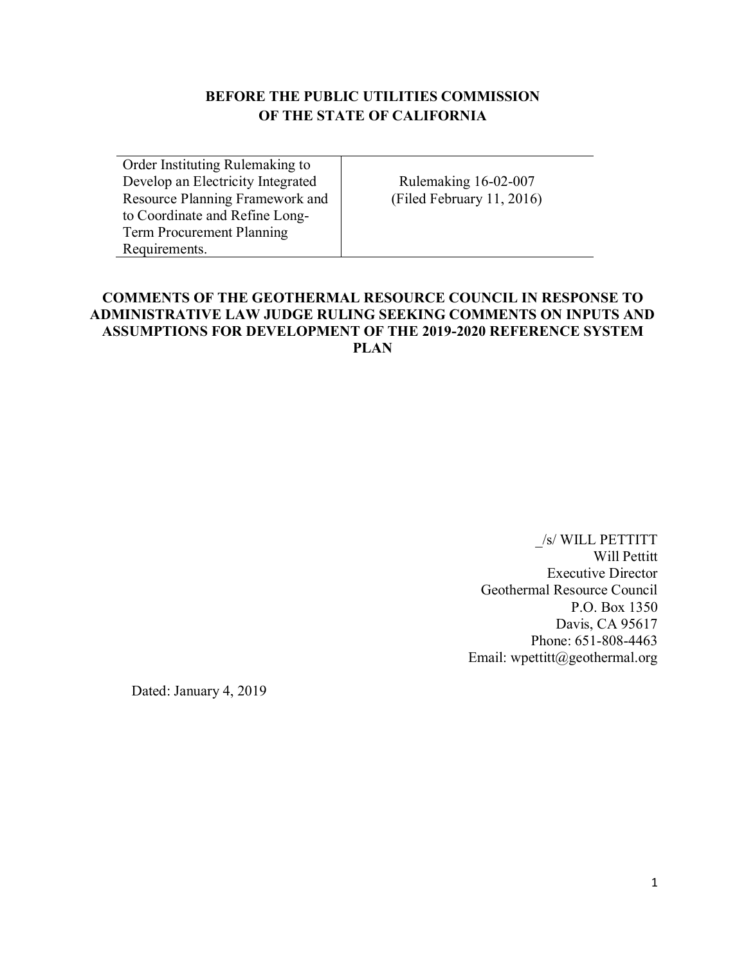## **BEFORE THE PUBLIC UTILITIES COMMISSION OF THE STATE OF CALIFORNIA**

Order Instituting Rulemaking to Develop an Electricity Integrated Resource Planning Framework and to Coordinate and Refine Long-Term Procurement Planning Requirements.

Rulemaking 16-02-007 (Filed February 11, 2016)

## **COMMENTS OF THE GEOTHERMAL RESOURCE COUNCIL IN RESPONSE TO ADMINISTRATIVE LAW JUDGE RULING SEEKING COMMENTS ON INPUTS AND ASSUMPTIONS FOR DEVELOPMENT OF THE 2019-2020 REFERENCE SYSTEM PLAN**

\_/s/ WILL PETTITT Will Pettitt Executive Director Geothermal Resource Council P.O. Box 1350 Davis, CA 95617 Phone: 651-808-4463 Email: wpettitt@geothermal.org

Dated: January 4, 2019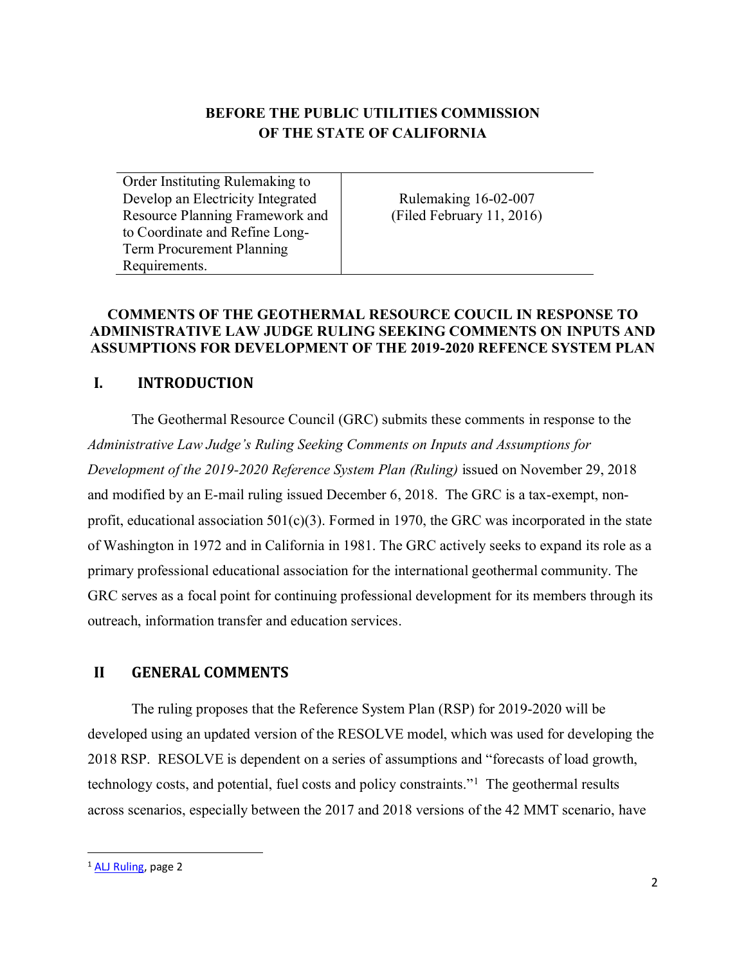# **BEFORE THE PUBLIC UTILITIES COMMISSION OF THE STATE OF CALIFORNIA**

Order Instituting Rulemaking to Develop an Electricity Integrated Resource Planning Framework and to Coordinate and Refine Long-Term Procurement Planning Requirements.

Rulemaking 16-02-007 (Filed February 11, 2016)

#### **COMMENTS OF THE GEOTHERMAL RESOURCE COUCIL IN RESPONSE TO ADMINISTRATIVE LAW JUDGE RULING SEEKING COMMENTS ON INPUTS AND ASSUMPTIONS FOR DEVELOPMENT OF THE 2019-2020 REFENCE SYSTEM PLAN**

## **I. INTRODUCTION**

The Geothermal Resource Council (GRC) submits these comments in response to the *Administrative Law Judge's Ruling Seeking Comments on Inputs and Assumptions for Development of the 2019-2020 Reference System Plan (Ruling)* issued on November 29, 2018 and modified by an E-mail ruling issued December 6, 2018. The GRC is a tax-exempt, nonprofit, educational association  $501(c)(3)$ . Formed in 1970, the GRC was incorporated in the state of Washington in 1972 and in California in 1981. The GRC actively seeks to expand its role as a primary professional educational association for the international geothermal community. The GRC serves as a focal point for continuing professional development for its members through its outreach, information transfer and education services.

## **II GENERAL COMMENTS**

The ruling proposes that the Reference System Plan (RSP) for 2019-2020 will be developed using an updated version of the RESOLVE model, which was used for developing the 2018 RSP. RESOLVE is dependent on a series of assumptions and "forecasts of load growth, technology costs, and potential, fuel costs and policy constraints."<sup>1</sup> The geothermal results across scenarios, especially between the 2017 and 2018 versions of the 42 MMT scenario, have

 $\overline{a}$ 

<sup>&</sup>lt;sup>1</sup> [ALJ Ruling,](http://docs.cpuc.ca.gov/PublishedDocs/Efile/G000/M243/K617/243617668.PDF) page 2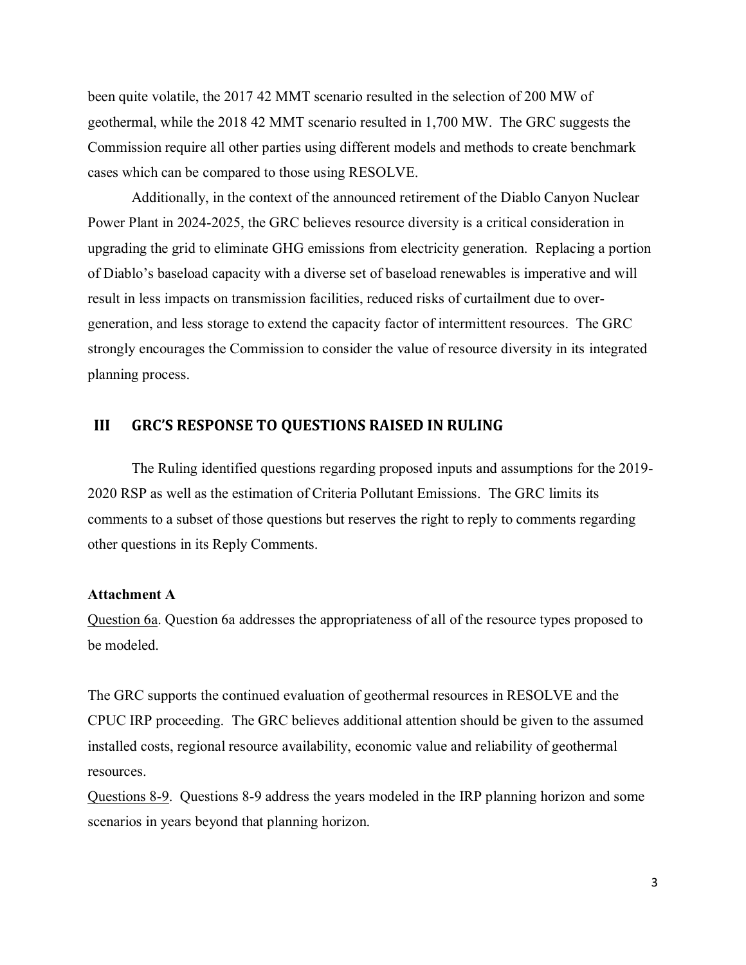been quite volatile, the 2017 42 MMT scenario resulted in the selection of 200 MW of geothermal, while the 2018 42 MMT scenario resulted in 1,700 MW. The GRC suggests the Commission require all other parties using different models and methods to create benchmark cases which can be compared to those using RESOLVE.

Additionally, in the context of the announced retirement of the Diablo Canyon Nuclear Power Plant in 2024-2025, the GRC believes resource diversity is a critical consideration in upgrading the grid to eliminate GHG emissions from electricity generation. Replacing a portion of Diablo's baseload capacity with a diverse set of baseload renewables is imperative and will result in less impacts on transmission facilities, reduced risks of curtailment due to overgeneration, and less storage to extend the capacity factor of intermittent resources. The GRC strongly encourages the Commission to consider the value of resource diversity in its integrated planning process.

#### **III GRC'S RESPONSE TO QUESTIONS RAISED IN RULING**

The Ruling identified questions regarding proposed inputs and assumptions for the 2019- 2020 RSP as well as the estimation of Criteria Pollutant Emissions. The GRC limits its comments to a subset of those questions but reserves the right to reply to comments regarding other questions in its Reply Comments.

#### **Attachment A**

Question 6a. Question 6a addresses the appropriateness of all of the resource types proposed to be modeled.

The GRC supports the continued evaluation of geothermal resources in RESOLVE and the CPUC IRP proceeding. The GRC believes additional attention should be given to the assumed installed costs, regional resource availability, economic value and reliability of geothermal resources.

Questions 8-9. Questions 8-9 address the years modeled in the IRP planning horizon and some scenarios in years beyond that planning horizon.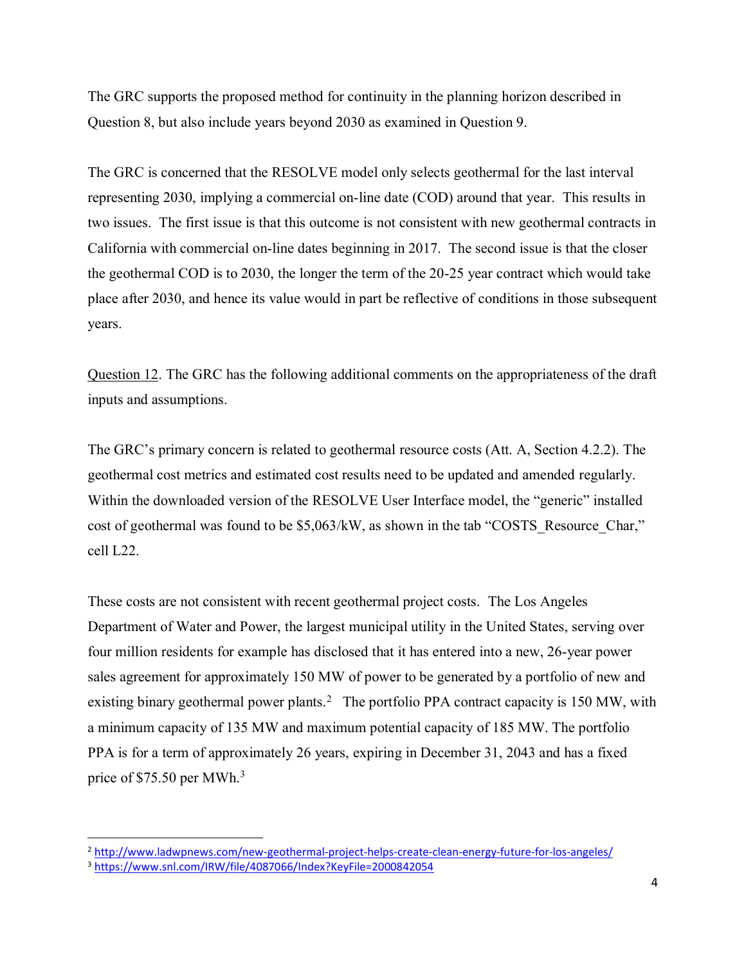The GRC supports the proposed method for continuity in the planning horizon described in Question 8, but also include years beyond 2030 as examined in Question 9.

The GRC is concerned that the RESOLVE model only selects geothermal for the last interval representing 2030, implying a commercial on-line date (COD) around that year. This results in two issues. The first issue is that this outcome is not consistent with new geothermal contracts in California with commercial on-line dates beginning in 2017. The second issue is that the closer the geothermal COD is to 2030, the longer the term of the 20-25 year contract which would take place after 2030, and hence its value would in part be reflective of conditions in those subsequent years.

Question 12. The GRC has the following additional comments on the appropriateness of the draft inputs and assumptions.

The GRC's primary concern is related to geothermal resource costs (Att. A, Section 4.2.2). The geothermal cost metrics and estimated cost results need to be updated and amended regularly. Within the downloaded version of the RESOLVE User Interface model, the "generic" installed cost of geothermal was found to be \$5,063/kW, as shown in the tab "COSTS\_Resource\_Char," cell L22.

These costs are not consistent with recent geothermal project costs. The Los Angeles Department of Water and Power, the largest municipal utility in the United States, serving over four million residents for example has disclosed that it has entered into a new, 26-year power sales agreement for approximately 150 MW of power to be generated by a portfolio of new and existing binary geothermal power plants.<sup>2</sup> The portfolio PPA contract capacity is 150 MW, with a minimum capacity of 135 MW and maximum potential capacity of 185 MW. The portfolio PPA is for a term of approximately 26 years, expiring in December 31, 2043 and has a fixed price of \$75.50 per MWh.<sup>3</sup>

l

<sup>2</sup> <http://www.ladwpnews.com/new-geothermal-project-helps-create-clean-energy-future-for-los-angeles/>

<sup>3</sup> <https://www.snl.com/IRW/file/4087066/Index?KeyFile=2000842054>